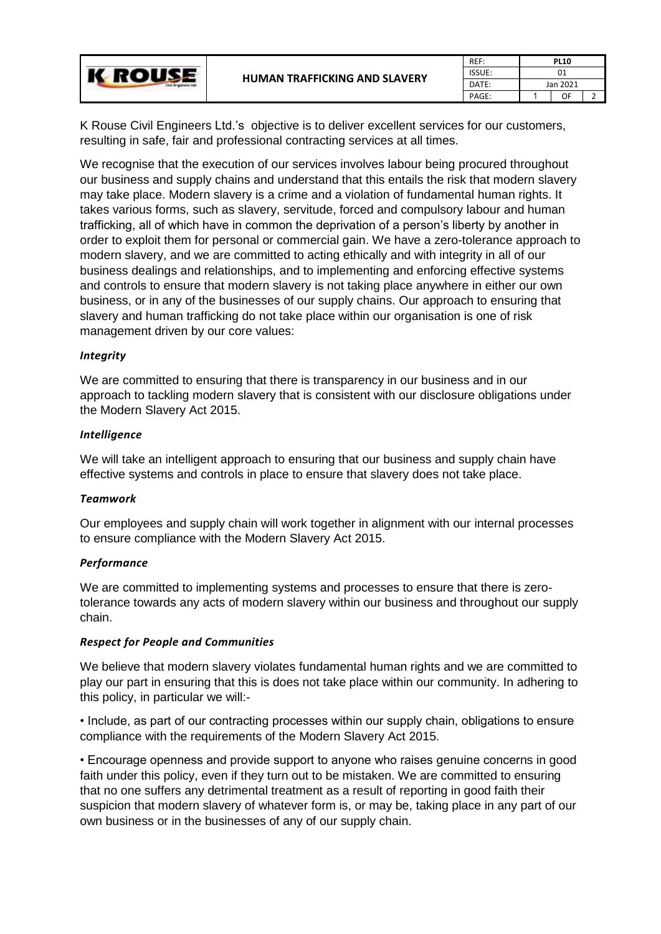| Clvill Brighteens Lkd | <b>HUMAN TRAFFICKING AND SLAVERY</b> | REF:          | <b>PL10</b> |    |  |
|-----------------------|--------------------------------------|---------------|-------------|----|--|
|                       |                                      | <b>ISSUE:</b> | 01          |    |  |
|                       |                                      | DATE:         | Jan 2021    |    |  |
|                       |                                      | PAGE:         |             | OF |  |

K Rouse Civil Engineers Ltd.'s objective is to deliver excellent services for our customers, resulting in safe, fair and professional contracting services at all times.

We recognise that the execution of our services involves labour being procured throughout our business and supply chains and understand that this entails the risk that modern slavery may take place. Modern slavery is a crime and a violation of fundamental human rights. It takes various forms, such as slavery, servitude, forced and compulsory labour and human trafficking, all of which have in common the deprivation of a person's liberty by another in order to exploit them for personal or commercial gain. We have a zero-tolerance approach to modern slavery, and we are committed to acting ethically and with integrity in all of our business dealings and relationships, and to implementing and enforcing effective systems and controls to ensure that modern slavery is not taking place anywhere in either our own business, or in any of the businesses of our supply chains. Our approach to ensuring that slavery and human trafficking do not take place within our organisation is one of risk management driven by our core values:

## *Integrity*

We are committed to ensuring that there is transparency in our business and in our approach to tackling modern slavery that is consistent with our disclosure obligations under the Modern Slavery Act 2015.

# *Intelligence*

We will take an intelligent approach to ensuring that our business and supply chain have effective systems and controls in place to ensure that slavery does not take place.

## *Teamwork*

Our employees and supply chain will work together in alignment with our internal processes to ensure compliance with the Modern Slavery Act 2015.

## *Performance*

We are committed to implementing systems and processes to ensure that there is zerotolerance towards any acts of modern slavery within our business and throughout our supply chain.

## *Respect for People and Communities*

We believe that modern slavery violates fundamental human rights and we are committed to play our part in ensuring that this is does not take place within our community. In adhering to this policy, in particular we will:-

• Include, as part of our contracting processes within our supply chain, obligations to ensure compliance with the requirements of the Modern Slavery Act 2015.

• Encourage openness and provide support to anyone who raises genuine concerns in good faith under this policy, even if they turn out to be mistaken. We are committed to ensuring that no one suffers any detrimental treatment as a result of reporting in good faith their suspicion that modern slavery of whatever form is, or may be, taking place in any part of our own business or in the businesses of any of our supply chain.